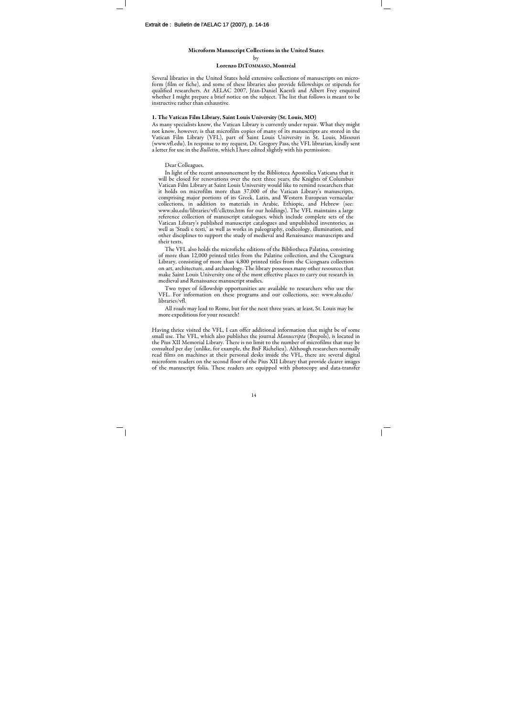### Microform Manuscript Collections in the United States

by

#### Lorenzo DITOMMASO, Montréal

Several libraries in the United States hold extensive collections of manuscripts on microform (film or fiche), and some of these libraries also provide fellowships or stipends for qualified researchers. At AELAC 2007, Jéan-Daniel Kaestli and Albert Frey enquired whether I might prepare a brief notice on the subject. The list that follows is meant to be instructive rather than exhaustive.

## 1. The Vatican Film Library, Saint Louis University (St. Louis, MO)

As many specialists know, the Vatican Library is currently under repair. What they might not know, however, is that microfilm copies of many of its manuscripts are stored in the Vatican Film Library (VFL), part of Saint Louis University in St. Louis, Missouri (www.vfl.edu). In response to my request, Dr. Gregory Pass, the VFL librarian, kindly sent a letter for use in the *Bulletin*, which I have edited slightly with his permission:

Dear Colleagues,

In light of the recent announcement by the Biblioteca Apostolica Vaticana that it will be closed for renovations over the next three years, the Knights of Columbus Vatican Film Library at Saint Louis University would like to remind researchers that it holds on microfilm more than 37,000 of the Vatican Library's manuscripts, comprising major portions of its Greek, Latin, and Western European vernacular collections, in addition to materials in Arabic, Ethiopic, and Hebrew (see: www.slu.edu/libraries/vfl/cllctns.htm for our holdings). The VFL maintains a large reference collection of manuscript catalogues, which include complete sets of the Vatican Library's published manuscript catalogues and unpublished inventories, as well as 'Studi e testi,' as well as works in paleography, codicology, illumination, and other disciplines to support the study of medieval and Renaissance manuscripts and their texts.

The VFL also holds the microfiche editions of the Bibliotheca Palatina, consisting of more than 12,000 printed titles from the Palatine collection, and the Cicognara Library, consisting of more than 4,800 printed titles from the Cicognara collection on art, architecture, and archaeology. The library possesses many other resources that make Saint Louis University one of the most effective places to carry out research in medieval and Renaissance manuscript studies.

Two types of fellowship opportunities are available to researchers who use the VFL. For information on these programs and our collections, see: www.slu.edu/ libraries/vfl.

All roads may lead to Rome, but for the next three years, at least, St. Louis may be more expeditious for your research!

Having thrice visited the VFL, I can offer additional information that might be of some small use. The VFL, which also publishes the journal *Manuscripta* (Brepols), is located in the Pius XII Memorial Library. There is no limit to the number of microfilms that may be consulted per day (unlike, for example, the BnF Richelieu). Although researchers normally read films on machines at their personal desks inside the VFL, there are several digital microform readers on the second floor of the Pius XII Library that provide clearer images of the manuscript folia. These readers are equipped with photocopy and data-transfer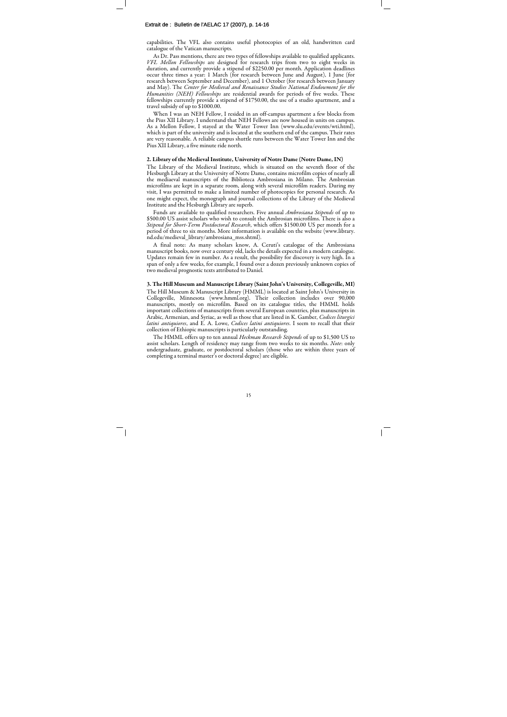# Extrait de : Bulletin de l'AELAC 17 (2007), p. 14-16

capabilities. The VFL also contains useful photocopies of an old, handwritten card catalogue of the Vatican manuscripts.

As Dr. Pass mentions, there are two types of fellowships available to qualified applicants. VFL Mellon Fellowships are designed for research trips from two to eight weeks in duration, and currently provide a stipend of \$2250.00 per month. Application deadlines occur three times a year: 1 March (for research between June and August), 1 June (for research between September and December), and 1 October (for research between January and May). The Center for Medieval and Renaissance Studies National Endowment for the Humanities (NEH) Fellowships are residential awards for periods of five weeks. These fellowships currently provide a stipend of \$1750.00, the use of a studio apartment, and a travel subsidy of up to \$1000.00.

When I was an NEH Fellow, I resided in an off-campus apartment a few blocks from the Pius XII Library. I understand that NEH Fellows are now housed in units on campus. As a Mellon Fellow, I stayed at the Water Tower Inn (www.slu.edu/events/wti.html), which is part of the university and is located at the southern end of the campus. Their rates are very reasonable. A reliable campus shuttle runs between the Water Tower Inn and the Pius XII Library, a five minute ride north.

## 2. Library of the Medieval Institute, University of Notre Dame (Notre Dame, IN)

The Library of the Medieval Institute, which is situated on the seventh floor of the Hesburgh Library at the University of Notre Dame, contains microfilm copies of nearly all the mediaeval manuscripts of the Biblioteca Ambrosiana in Milano. The Ambrosian microfilms are kept in a separate room, along with several microfilm readers. During my visit, I was permitted to make a limited number of photocopies for personal research. As one might expect, the monograph and journal collections of the Library of the Medieval Institute and the Hesburgh Library are superb.

Funds are available to qualified researchers. Five annual *Ambrosiana Stipends* of up to \$500.00 US assist scholars who wish to consult the Ambrosian microfilms. There is also a Stipend for Short-Term Postdoctoral Research, which offers \$1500.00 US per month for a period of three to six months. More information is available on the website (www.library. nd.edu/medieval\_library/ambrosiana\_mss.shtml).

A final note: As many scholars know, A. Ceruti's catalogue of the Ambrosiana manuscript books, now over a century old, lacks the details expected in a modern catalogue. Updates remain few in number. As a result, the possibility for discovery is very high. In a span of only a few weeks, for example, I found over a dozen previously unknown copies of two medieval prognostic texts attributed to Daniel.

## 3. The Hill Museum and Manuscript Library (Saint John's University, Collegeville, MI)

The Hill Museum & Manuscript Library (HMML) is located at Saint John's University in Collegeville, Minnesota (www.hmml.org). Their collection includes over 90,000 manuscripts, mostly on microfilm. Based on its catalogue titles, the HMML holds important collections of manuscripts from several European countries, plus manuscripts in Arabic, Armenian, and Syriac, as well as those that are listed in K. Gamber, Codices liturgici latini antiquiores, and E. A. Lowe, Codices latini antiquiores. I seem to recall that their collection of Ethiopic manuscripts is particularly outstanding.

The HMML offers up to ten annual *Heckman Research Stipends* of up to \$1,500 US to assist scholars. Length of residency may range from two weeks to six months. Note: only undergraduate, graduate, or postdoctoral scholars (those who are within three years of completing a terminal master's or doctoral degree) are eligible.